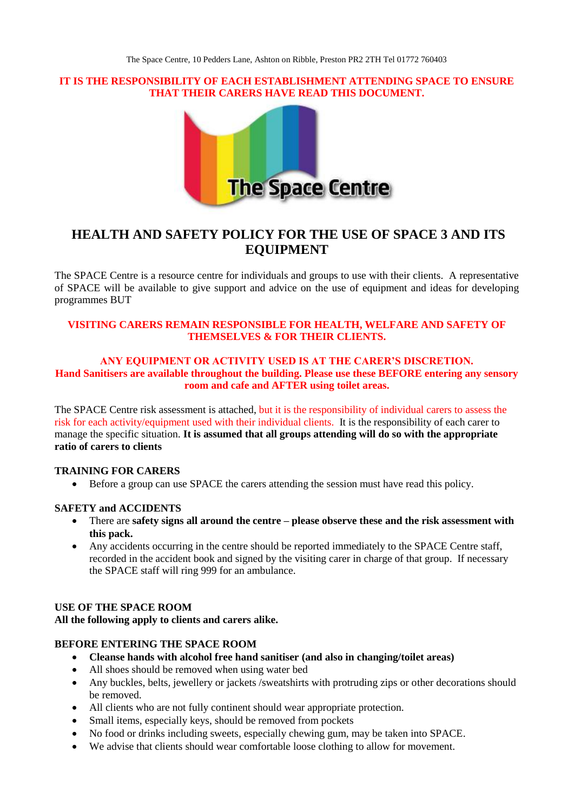# **IT IS THE RESPONSIBILITY OF EACH ESTABLISHMENT ATTENDING SPACE TO ENSURE THAT THEIR CARERS HAVE READ THIS DOCUMENT.**



# **HEALTH AND SAFETY POLICY FOR THE USE OF SPACE 3 AND ITS EQUIPMENT**

The SPACE Centre is a resource centre for individuals and groups to use with their clients. A representative of SPACE will be available to give support and advice on the use of equipment and ideas for developing programmes BUT

# **VISITING CARERS REMAIN RESPONSIBLE FOR HEALTH, WELFARE AND SAFETY OF THEMSELVES & FOR THEIR CLIENTS.**

#### **ANY EQUIPMENT OR ACTIVITY USED IS AT THE CARER'S DISCRETION. Hand Sanitisers are available throughout the building. Please use these BEFORE entering any sensory room and cafe and AFTER using toilet areas.**

The SPACE Centre risk assessment is attached, but it is the responsibility of individual carers to assess the risk for each activity/equipment used with their individual clients. It is the responsibility of each carer to manage the specific situation. **It is assumed that all groups attending will do so with the appropriate ratio of carers to clients**

### **TRAINING FOR CARERS**

Before a group can use SPACE the carers attending the session must have read this policy.

### **SAFETY and ACCIDENTS**

- There are **safety signs all around the centre – please observe these and the risk assessment with this pack.**
- Any accidents occurring in the centre should be reported immediately to the SPACE Centre staff, recorded in the accident book and signed by the visiting carer in charge of that group. If necessary the SPACE staff will ring 999 for an ambulance.

### **USE OF THE SPACE ROOM**

**All the following apply to clients and carers alike.** 

### **BEFORE ENTERING THE SPACE ROOM**

- **Cleanse hands with alcohol free hand sanitiser (and also in changing/toilet areas)**
- All shoes should be removed when using water bed
- Any buckles, belts, jewellery or jackets /sweatshirts with protruding zips or other decorations should be removed.
- All clients who are not fully continent should wear appropriate protection.
- Small items, especially keys, should be removed from pockets
- No food or drinks including sweets, especially chewing gum, may be taken into SPACE.
- We advise that clients should wear comfortable loose clothing to allow for movement.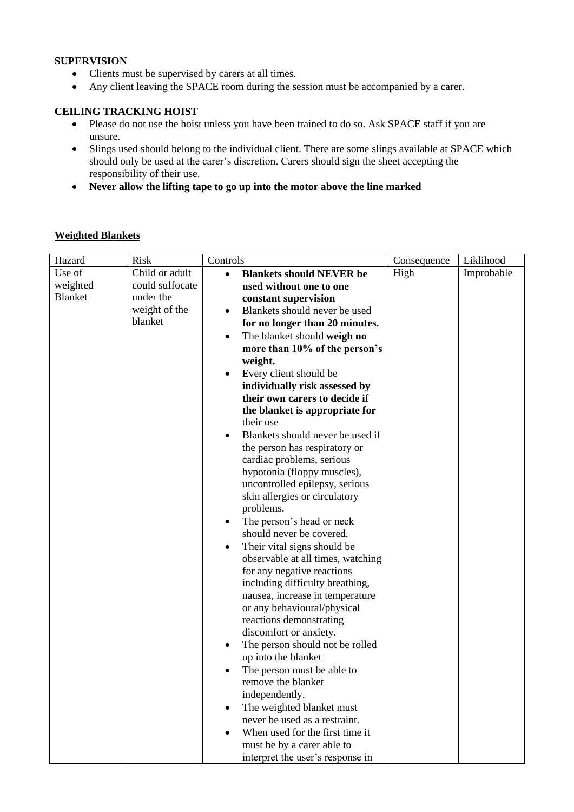# **SUPERVISION**

- Clients must be supervised by carers at all times.
- Any client leaving the SPACE room during the session must be accompanied by a carer.

# **CEILING TRACKING HOIST**

- Please do not use the hoist unless you have been trained to do so. Ask SPACE staff if you are unsure.
- Slings used should belong to the individual client. There are some slings available at SPACE which should only be used at the carer's discretion. Carers should sign the sheet accepting the responsibility of their use.
- **Never allow the lifting tape to go up into the motor above the line marked**

| <b>Weighted Blankets</b> |  |
|--------------------------|--|
|                          |  |

| Hazard         | <b>Risk</b>     | Controls                                      | Consequence | Liklihood  |
|----------------|-----------------|-----------------------------------------------|-------------|------------|
| Use of         | Child or adult  | <b>Blankets should NEVER be</b><br>$\bullet$  | High        | Improbable |
| weighted       | could suffocate | used without one to one                       |             |            |
| <b>Blanket</b> | under the       | constant supervision                          |             |            |
|                | weight of the   | Blankets should never be used                 |             |            |
|                | blanket         | for no longer than 20 minutes.                |             |            |
|                |                 | The blanket should weigh no                   |             |            |
|                |                 | more than 10% of the person's                 |             |            |
|                |                 | weight.                                       |             |            |
|                |                 | Every client should be                        |             |            |
|                |                 | individually risk assessed by                 |             |            |
|                |                 | their own carers to decide if                 |             |            |
|                |                 | the blanket is appropriate for                |             |            |
|                |                 | their use                                     |             |            |
|                |                 | Blankets should never be used if<br>$\bullet$ |             |            |
|                |                 | the person has respiratory or                 |             |            |
|                |                 | cardiac problems, serious                     |             |            |
|                |                 | hypotonia (floppy muscles),                   |             |            |
|                |                 | uncontrolled epilepsy, serious                |             |            |
|                |                 | skin allergies or circulatory                 |             |            |
|                |                 | problems.                                     |             |            |
|                |                 | The person's head or neck                     |             |            |
|                |                 | should never be covered.                      |             |            |
|                |                 | Their vital signs should be<br>$\bullet$      |             |            |
|                |                 | observable at all times, watching             |             |            |
|                |                 | for any negative reactions                    |             |            |
|                |                 | including difficulty breathing,               |             |            |
|                |                 | nausea, increase in temperature               |             |            |
|                |                 | or any behavioural/physical                   |             |            |
|                |                 | reactions demonstrating                       |             |            |
|                |                 | discomfort or anxiety.                        |             |            |
|                |                 | The person should not be rolled<br>٠          |             |            |
|                |                 | up into the blanket                           |             |            |
|                |                 | The person must be able to                    |             |            |
|                |                 | remove the blanket                            |             |            |
|                |                 | independently.                                |             |            |
|                |                 | The weighted blanket must                     |             |            |
|                |                 | never be used as a restraint.                 |             |            |
|                |                 | When used for the first time it               |             |            |
|                |                 | must be by a carer able to                    |             |            |
|                |                 | interpret the user's response in              |             |            |